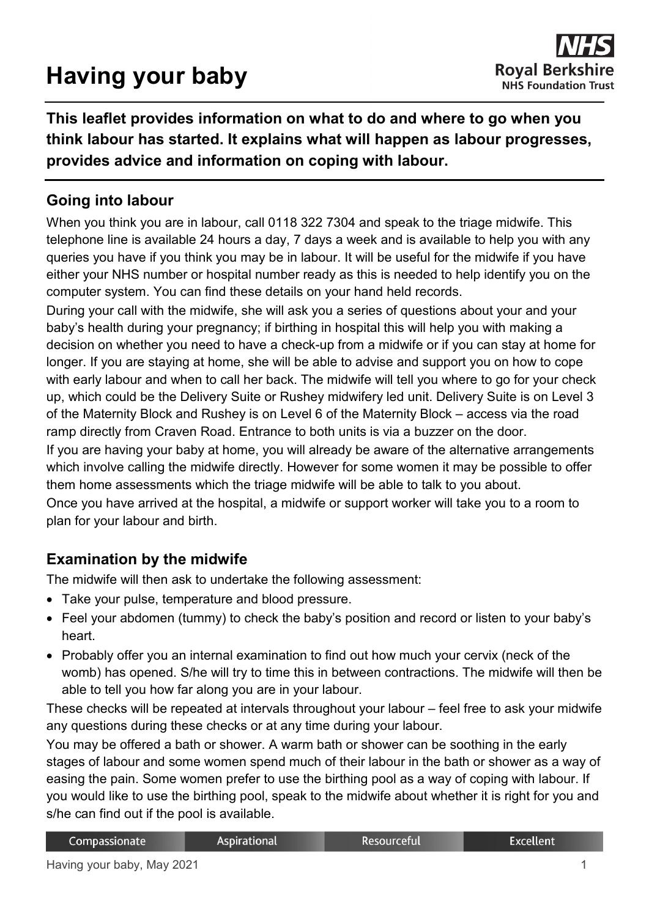# **Having your baby**

**This leaflet provides information on what to do and where to go when you think labour has started. It explains what will happen as labour progresses, provides advice and information on coping with labour.**

## **Going into labour**

When you think you are in labour, call 0118 322 7304 and speak to the triage midwife. This telephone line is available 24 hours a day, 7 days a week and is available to help you with any queries you have if you think you may be in labour. It will be useful for the midwife if you have either your NHS number or hospital number ready as this is needed to help identify you on the computer system. You can find these details on your hand held records.

During your call with the midwife, she will ask you a series of questions about your and your baby's health during your pregnancy; if birthing in hospital this will help you with making a decision on whether you need to have a check-up from a midwife or if you can stay at home for longer. If you are staying at home, she will be able to advise and support you on how to cope with early labour and when to call her back. The midwife will tell you where to go for your check up, which could be the Delivery Suite or Rushey midwifery led unit. Delivery Suite is on Level 3 of the Maternity Block and Rushey is on Level 6 of the Maternity Block – access via the road ramp directly from Craven Road. Entrance to both units is via a buzzer on the door.

If you are having your baby at home, you will already be aware of the alternative arrangements which involve calling the midwife directly. However for some women it may be possible to offer them home assessments which the triage midwife will be able to talk to you about.

Once you have arrived at the hospital, a midwife or support worker will take you to a room to plan for your labour and birth.

# **Examination by the midwife**

The midwife will then ask to undertake the following assessment:

- Take your pulse, temperature and blood pressure.
- Feel your abdomen (tummy) to check the baby's position and record or listen to your baby's heart.
- Probably offer you an internal examination to find out how much your cervix (neck of the womb) has opened. S/he will try to time this in between contractions. The midwife will then be able to tell you how far along you are in your labour.

These checks will be repeated at intervals throughout your labour – feel free to ask your midwife any questions during these checks or at any time during your labour.

You may be offered a bath or shower. A warm bath or shower can be soothing in the early stages of labour and some women spend much of their labour in the bath or shower as a way of easing the pain. Some women prefer to use the birthing pool as a way of coping with labour. If you would like to use the birthing pool, speak to the midwife about whether it is right for you and s/he can find out if the pool is available.

| Compassionate | <b>Aspirational</b> | Resourceful | Excellent |
|---------------|---------------------|-------------|-----------|
|---------------|---------------------|-------------|-----------|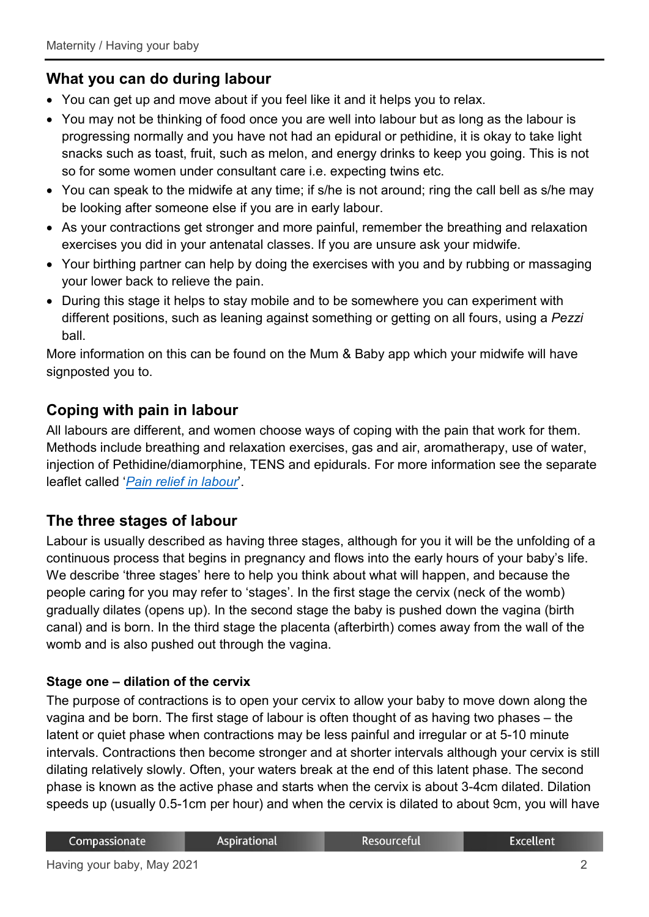## **What you can do during labour**

- You can get up and move about if you feel like it and it helps you to relax.
- You may not be thinking of food once you are well into labour but as long as the labour is progressing normally and you have not had an epidural or pethidine, it is okay to take light snacks such as toast, fruit, such as melon, and energy drinks to keep you going. This is not so for some women under consultant care i.e. expecting twins etc.
- You can speak to the midwife at any time; if s/he is not around; ring the call bell as s/he may be looking after someone else if you are in early labour.
- As your contractions get stronger and more painful, remember the breathing and relaxation exercises you did in your antenatal classes. If you are unsure ask your midwife.
- Your birthing partner can help by doing the exercises with you and by rubbing or massaging your lower back to relieve the pain.
- During this stage it helps to stay mobile and to be somewhere you can experiment with different positions, such as leaning against something or getting on all fours, using a *Pezzi* ball.

More information on this can be found on the Mum & Baby app which your midwife will have signposted you to.

## **Coping with pain in labour**

All labours are different, and women choose ways of coping with the pain that work for them. Methods include breathing and relaxation exercises, gas and air, aromatherapy, use of water, injection of Pethidine/diamorphine, TENS and epidurals. For more information see the separate leaflet called '*[Pain relief in labour](https://www.royalberkshire.nhs.uk/patient-information-leaflets/Maternity/Maternity---pain-relief-in-labour.htm)*'.

## **The three stages of labour**

Labour is usually described as having three stages, although for you it will be the unfolding of a continuous process that begins in pregnancy and flows into the early hours of your baby's life. We describe 'three stages' here to help you think about what will happen, and because the people caring for you may refer to 'stages'. In the first stage the cervix (neck of the womb) gradually dilates (opens up). In the second stage the baby is pushed down the vagina (birth canal) and is born. In the third stage the placenta (afterbirth) comes away from the wall of the womb and is also pushed out through the vagina.

#### **Stage one – dilation of the cervix**

The purpose of contractions is to open your cervix to allow your baby to move down along the vagina and be born. The first stage of labour is often thought of as having two phases – the latent or quiet phase when contractions may be less painful and irregular or at 5-10 minute intervals. Contractions then become stronger and at shorter intervals although your cervix is still dilating relatively slowly. Often, your waters break at the end of this latent phase. The second phase is known as the active phase and starts when the cervix is about 3-4cm dilated. Dilation speeds up (usually 0.5-1cm per hour) and when the cervix is dilated to about 9cm, you will have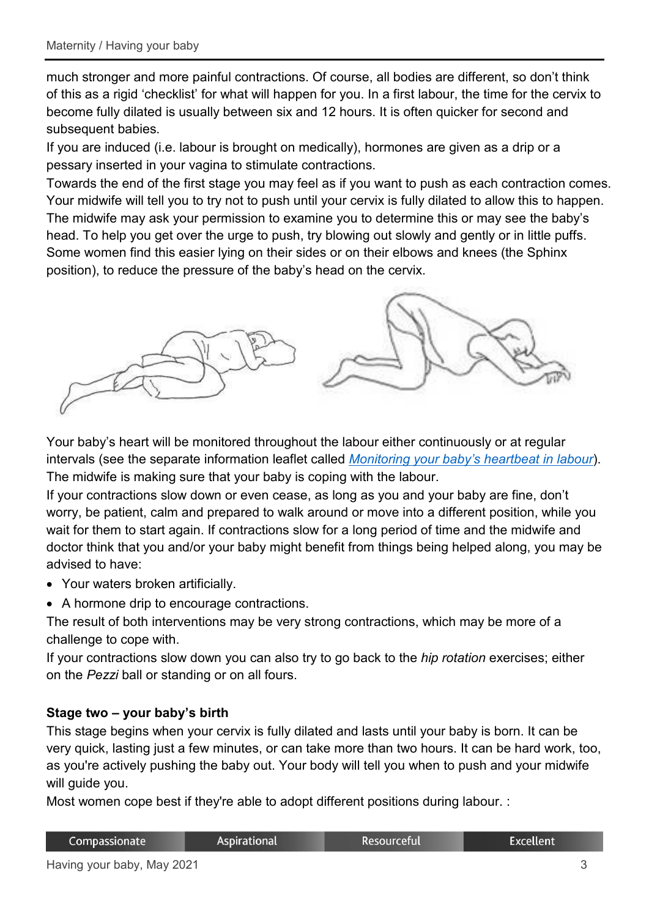much stronger and more painful contractions. Of course, all bodies are different, so don't think of this as a rigid 'checklist' for what will happen for you. In a first labour, the time for the cervix to become fully dilated is usually between six and 12 hours. It is often quicker for second and subsequent babies.

If you are induced (i.e. labour is brought on medically), hormones are given as a drip or a pessary inserted in your vagina to stimulate contractions.

Towards the end of the first stage you may feel as if you want to push as each contraction comes. Your midwife will tell you to try not to push until your cervix is fully dilated to allow this to happen. The midwife may ask your permission to examine you to determine this or may see the baby's head. To help you get over the urge to push, try blowing out slowly and gently or in little puffs. Some women find this easier lying on their sides or on their elbows and knees (the Sphinx position), to reduce the pressure of the baby's head on the cervix.



Your baby's heart will be monitored throughout the labour either continuously or at regular intervals (see the separate information leaflet called *[Monitoring your baby's heartbeat in labour](https://www.royalberkshire.nhs.uk/patient-information-leaflets/Maternity/Maternity---monitoring-your-babys-heartbeat-during-labour.htm)*). The midwife is making sure that your baby is coping with the labour.

If your contractions slow down or even cease, as long as you and your baby are fine, don't worry, be patient, calm and prepared to walk around or move into a different position, while you wait for them to start again. If contractions slow for a long period of time and the midwife and doctor think that you and/or your baby might benefit from things being helped along, you may be advised to have:

- Your waters broken artificially.
- A hormone drip to encourage contractions.

The result of both interventions may be very strong contractions, which may be more of a challenge to cope with.

If your contractions slow down you can also try to go back to the *hip rotation* exercises; either on the *Pezzi* ball or standing or on all fours.

#### **Stage two – your baby's birth**

This stage begins when your cervix is fully dilated and lasts until your baby is born. It can be very quick, lasting just a few minutes, or can take more than two hours. It can be hard work, too, as you're actively pushing the baby out. Your body will tell you when to push and your midwife will guide you.

Most women cope best if they're able to adopt different positions during labour. :

| Compassionate | <b>Aspirational</b> | : Resourceful | Excellent <sup>1</sup> |
|---------------|---------------------|---------------|------------------------|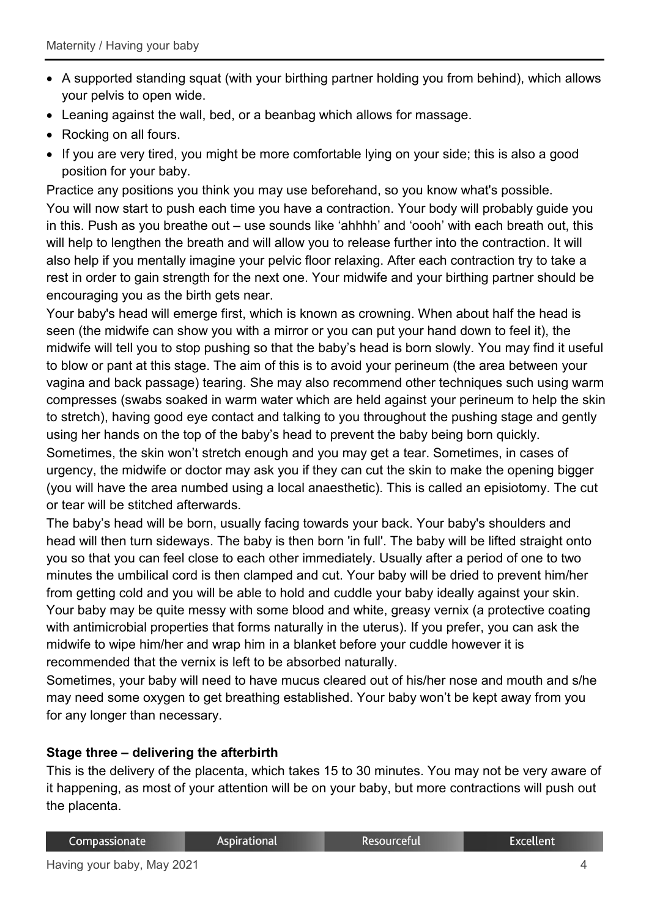- A supported standing squat (with your birthing partner holding you from behind), which allows your pelvis to open wide.
- Leaning against the wall, bed, or a beanbag which allows for massage.
- Rocking on all fours.
- If you are very tired, you might be more comfortable lying on your side; this is also a good position for your baby.

Practice any positions you think you may use beforehand, so you know what's possible. You will now start to push each time you have a contraction. Your body will probably guide you in this. Push as you breathe out – use sounds like 'ahhhh' and 'oooh' with each breath out, this will help to lengthen the breath and will allow you to release further into the contraction. It will also help if you mentally imagine your pelvic floor relaxing. After each contraction try to take a rest in order to gain strength for the next one. Your midwife and your birthing partner should be encouraging you as the birth gets near.

Your baby's head will emerge first, which is known as crowning. When about half the head is seen (the midwife can show you with a mirror or you can put your hand down to feel it), the midwife will tell you to stop pushing so that the baby's head is born slowly. You may find it useful to blow or pant at this stage. The aim of this is to avoid your perineum (the area between your vagina and back passage) tearing. She may also recommend other techniques such using warm compresses (swabs soaked in warm water which are held against your perineum to help the skin to stretch), having good eye contact and talking to you throughout the pushing stage and gently using her hands on the top of the baby's head to prevent the baby being born quickly.

Sometimes, the skin won't stretch enough and you may get a tear. Sometimes, in cases of urgency, the midwife or doctor may ask you if they can cut the skin to make the opening bigger (you will have the area numbed using a local anaesthetic). This is called an episiotomy. The cut or tear will be stitched afterwards.

The baby's head will be born, usually facing towards your back. Your baby's shoulders and head will then turn sideways. The baby is then born 'in full'. The baby will be lifted straight onto you so that you can feel close to each other immediately. Usually after a period of one to two minutes the umbilical cord is then clamped and cut. Your baby will be dried to prevent him/her from getting cold and you will be able to hold and cuddle your baby ideally against your skin. Your baby may be quite messy with some blood and white, greasy vernix (a protective coating with antimicrobial properties that forms naturally in the uterus). If you prefer, you can ask the midwife to wipe him/her and wrap him in a blanket before your cuddle however it is recommended that the vernix is left to be absorbed naturally.

Sometimes, your baby will need to have mucus cleared out of his/her nose and mouth and s/he may need some oxygen to get breathing established. Your baby won't be kept away from you for any longer than necessary.

#### **Stage three – delivering the afterbirth**

This is the delivery of the placenta, which takes 15 to 30 minutes. You may not be very aware of it happening, as most of your attention will be on your baby, but more contractions will push out the placenta.

| Compassionate | <b>Aspirational</b> | Resourceful | <b>Excellent</b> |
|---------------|---------------------|-------------|------------------|
|---------------|---------------------|-------------|------------------|